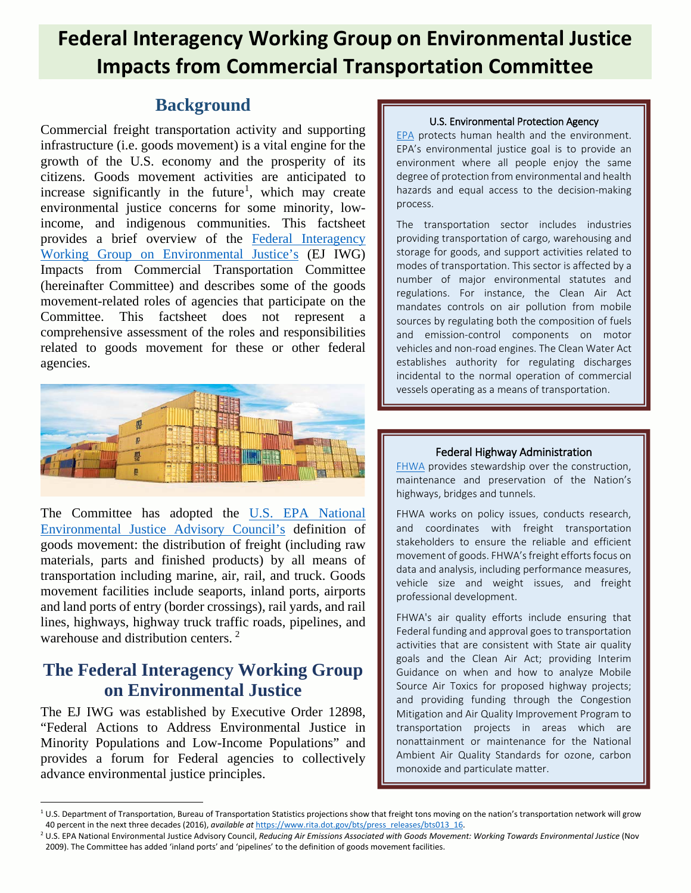# **Federal Interagency Working Group on Environmental Justice Impacts from Commercial Transportation Committee .**

## **Background**

Commercial freight transportation activity and supporting infrastructure (i.e. goods movement) is a vital engine for the growth of the U.S. economy and the prosperity of its citizens. Goods movement activities are anticipated to increase significantly in the future<sup>[1](#page-0-0)</sup>, which may create environmental justice concerns for some minority, lowincome, and indigenous communities. This factsheet provides a brief overview of the [Federal Interagency](https://www.epa.gov/environmentaljustice/federal-interagency-working-group-environmental-justice-ej-iwg)  Working Group on [Environmental Justice's](https://www.epa.gov/environmentaljustice/federal-interagency-working-group-environmental-justice-ej-iwg) (EJ IWG) Impacts from Commercial Transportation Committee (hereinafter Committee) and describes some of the goods movement-related roles of agencies that participate on the Committee. This factsheet does not represent a comprehensive assessment of the roles and responsibilities related to goods movement for these or other federal agencies.



The Committee has adopted the [U.S. EPA National](https://www.epa.gov/environmentaljustice/national-environmental-justice-advisory-council)  [Environmental Justice Advisory Council's](https://www.epa.gov/environmentaljustice/national-environmental-justice-advisory-council) definition of goods movement: the distribution of freight (including raw materials, parts and finished products) by all means of transportation including marine, air, rail, and truck. Goods movement facilities include seaports, inland ports, airports and land ports of entry (border crossings), rail yards, and rail lines, highways, highway truck traffic roads, pipelines, and warehouse and distribution centers.<sup>[2](#page-0-1)</sup>

## **The Federal Interagency Working Group on Environmental Justice**

The EJ IWG was established by Executive Order 12898, "Federal Actions to Address Environmental Justice in Minority Populations and Low-Income Populations" and provides a forum for Federal agencies to collectively advance environmental justice principles.

## U.S. Environmental Protection Agency

[EPA](https://www.epa.gov/) protects human health and the environment. EPA's environmental justice goal is to provide an environment where all people enjoy the same degree of protection from environmental and health hazards and equal access to the decision-making process.

The transportation sector includes industries providing transportation of cargo, warehousing and storage for goods, and support activities related to modes of transportation. This sector is affected by a number of major environmental statutes and regulations. For instance, the Clean Air Act mandates controls on air pollution from mobile sources by regulating both the composition of fuels and emission-control components on motor vehicles and non-road engines. The Clean Water Act establishes authority for regulating discharges incidental to the normal operation of commercial vessels operating as a means of transportation.

## Federal Highway Administration

[FHWA](https://www.fhwa.dot.gov/) provides stewardship over the construction, maintenance and preservation of the Nation's highways, bridges and tunnels.

FHWA works on policy issues, conducts research, and coordinates with freight transportation stakeholders to ensure the reliable and efficient movement of goods. FHWA's freight efforts focus on data and analysis, including performance measures, vehicle size and weight issues, and freight professional development.

FHWA's air quality efforts include ensuring that Federal funding and approval goes to transportation activities that are consistent with State air quality goals and the Clean Air Act; providing Interim Guidance on when and how to analyze Mobile Source Air Toxics for proposed highway projects; and providing funding through the Congestion Mitigation and Air Quality Improvement Program to transportation projects in areas which are nonattainment or maintenance for the National Ambient Air Quality Standards for ozone, carbon monoxide and particulate matter.

<span id="page-0-0"></span> $10.5$ . Department of Transportation, Bureau of Transportation Statistics projections show that freight tons moving on the nation's transportation network will grow 40 percent in the next three decades (2016), available at https://www.rita.dot.gov/bts/press\_releases/bts013 16.<br><sup>2</sup> U.S. EPA National Environmental Justice Advisory Council, Reducing Air Emissions Associated with Goods Mo

<span id="page-0-1"></span><sup>2009).</sup> The Committee has added 'inland ports' and 'pipelines' to the definition of goods movement facilities.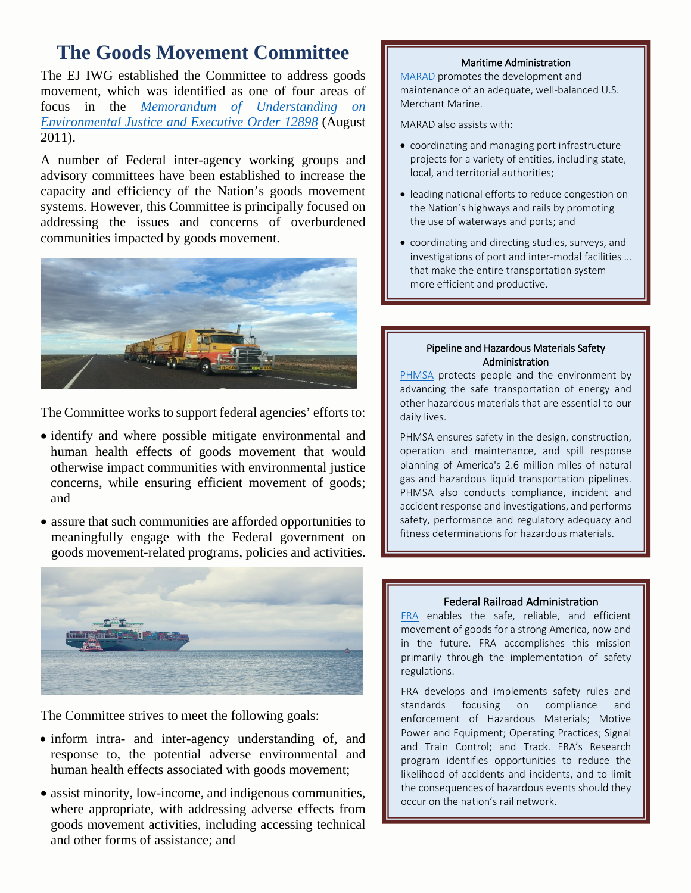# **The Goods Movement Committee**

The EJ IWG established the Committee to address goods movement, which was identified as one of four areas of focus in the *[Memorandum of Understanding on](https://www.epa.gov/sites/production/files/2015-02/documents/ej-mou-2011-08.pdf)  [Environmental Justice and Executive Order 12898](https://www.epa.gov/sites/production/files/2015-02/documents/ej-mou-2011-08.pdf)* (August 2011).

A number of Federal inter-agency working groups and advisory committees have been established to increase the capacity and efficiency of the Nation's goods movement systems. However, this Committee is principally focused on addressing the issues and concerns of overburdened communities impacted by goods movement.



The Committee works to support federal agencies' efforts to:

- identify and where possible mitigate environmental and human health effects of goods movement that would otherwise impact communities with environmental justice concerns, while ensuring efficient movement of goods; and
- assure that such communities are afforded opportunities to meaningfully engage with the Federal government on goods movement-related programs, policies and activities.



The Committee strives to meet the following goals:

- inform intra- and inter-agency understanding of, and response to, the potential adverse environmental and human health effects associated with goods movement;
- assist minority, low-income, and indigenous communities, where appropriate, with addressing adverse effects from goods movement activities, including accessing technical and other forms of assistance; and

## Maritime Administration

[MARAD](https://www.marad.dot.gov/) promotes the development and maintenance of an adequate, well-balanced U.S. Merchant Marine.

MARAD also assists with:

- coordinating and managing port infrastructure projects for a variety of entities, including state, local, and territorial authorities;
- leading national efforts to reduce congestion on the Nation's highways and rails by promoting the use of waterways and ports; and
- coordinating and directing studies, surveys, and investigations of port and inter-modal facilities … that make the entire transportation system more efficient and productive.

### Pipeline and Hazardous Materials Safety Administration

[PHMSA](https://www.phmsa.dot.gov/) protects people and the environment by advancing the safe transportation of energy and other hazardous materials that are essential to our daily lives.

PHMSA ensures safety in the design, construction, operation and maintenance, and spill response planning of America's 2.6 million miles of natural gas and hazardous liquid transportation pipelines. PHMSA also conducts compliance, incident and accident response and investigations, and performs safety, performance and regulatory adequacy and fitness determinations for hazardous materials.

## Federal Railroad Administration

[FRA](https://www.fra.dot.gov/Page/P0001) enables the safe, reliable, and efficient movement of goods for a strong America, now and in the future. FRA accomplishes this mission primarily through the implementation of safety regulations.

FRA develops and implements safety rules and standards focusing on compliance and enforcement of Hazardous Materials; Motive Power and Equipment; Operating Practices; Signal and Train Control; and Track. FRA's Research program identifies opportunities to reduce the likelihood of accidents and incidents, and to limit the consequences of hazardous events should they occur on the nation's rail network.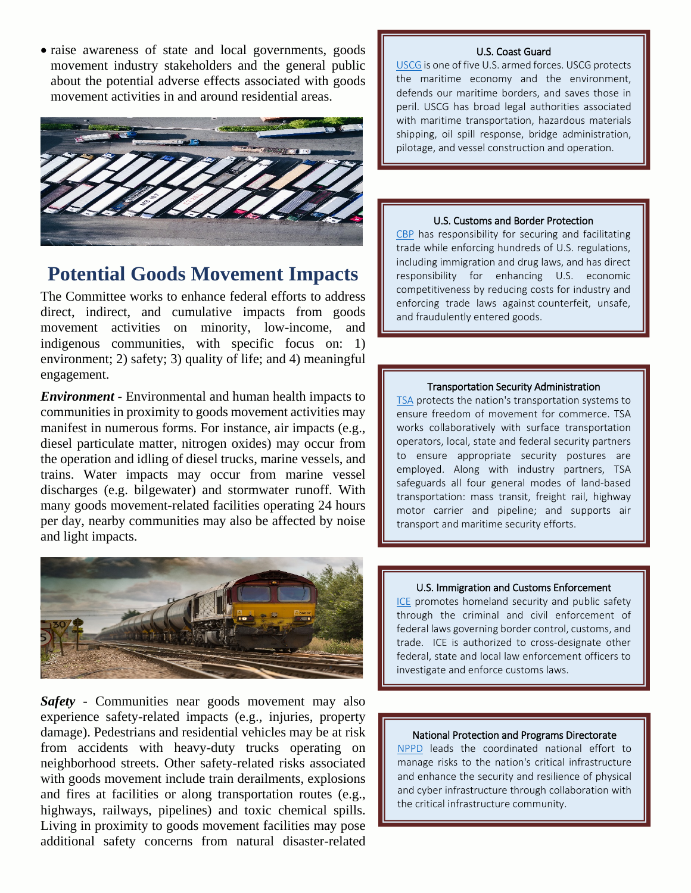• raise awareness of state and local governments, goods movement industry stakeholders and the general public about the potential adverse effects associated with goods movement activities in and around residential areas.



## **Potential Goods Movement Impacts**

The Committee works to enhance federal efforts to address direct, indirect, and cumulative impacts from goods movement activities on minority, low-income, and indigenous communities, with specific focus on: 1) environment; 2) safety; 3) quality of life; and 4) meaningful engagement.

*Environment* - Environmental and human health impacts to communities in proximity to goods movement activities may manifest in numerous forms. For instance, air impacts (e.g., diesel particulate matter, nitrogen oxides) may occur from the operation and idling of diesel trucks, marine vessels, and trains. Water impacts may occur from marine vessel discharges (e.g. bilgewater) and stormwater runoff. With many goods movement-related facilities operating 24 hours per day, nearby communities may also be affected by noise and light impacts.



*Safety* - Communities near goods movement may also experience safety-related impacts (e.g., injuries, property damage). Pedestrians and residential vehicles may be at risk from accidents with heavy-duty trucks operating on neighborhood streets. Other safety-related risks associated with goods movement include train derailments, explosions and fires at facilities or along transportation routes (e.g., highways, railways, pipelines) and toxic chemical spills. Living in proximity to goods movement facilities may pose additional safety concerns from natural disaster-related

## U.S. Coast Guard

[USCG](https://www.uscg.mil/) is one of five U.S. armed forces. USCG protects the maritime economy and the environment, defends our maritime borders, and saves those in peril. USCG has broad legal authorities associated with maritime transportation, hazardous materials shipping, oil spill response, bridge administration, pilotage, and vessel construction and operation.

#### U.S. Customs and Border Protection

[CBP](https://www.cbp.gov/) has responsibility for securing and facilitating trade while enforcing hundreds of U.S. regulations, including immigration and drug laws, and has direct responsibility for enhancing U.S. economic competitiveness by reducing costs for industry and enforcing trade laws against counterfeit, unsafe, and fraudulently entered goods.

### Transportation Security Administration

[TSA](https://www.tsa.gov/) protects the nation's transportation systems to ensure freedom of movement for commerce. TSA works collaboratively with surface transportation operators, local, state and federal security partners to ensure appropriate security postures are employed. Along with industry partners, TSA safeguards all four general modes of land-based transportation: mass transit, freight rail, highway motor carrier and pipeline; and supports air transport and maritime security efforts.

#### U.S. Immigration and Customs Enforcement

[ICE](https://www.ice.gov/) promotes homeland security and public safety through the criminal and civil enforcement of federal laws governing border control, customs, and trade. ICE is authorized to cross-designate other federal, state and local law enforcement officers to investigate and enforce customs laws.

#### National Protection and Programs Directorate

[NPPD](https://www.dhs.gov/national-protection-and-programs-directorate) leads the coordinated national effort to manage risks to the nation's [critical infrastructure](https://www.dhs.gov/critical-infrastructure) and enhance the security and resilience of physical and cyber infrastructure through collaboration with the critical infrastructure community.